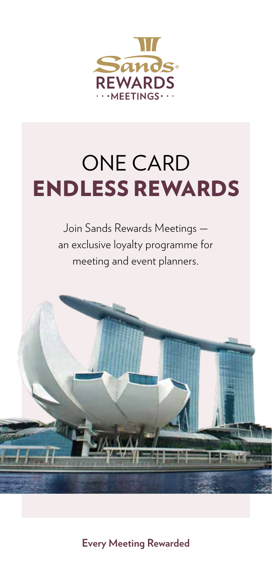

## ONE CARD ENDLESS REWARDS

Join Sands Rewards Meetings an exclusive loyalty programme for meeting and event planners.



**Every Meeting Rewarded**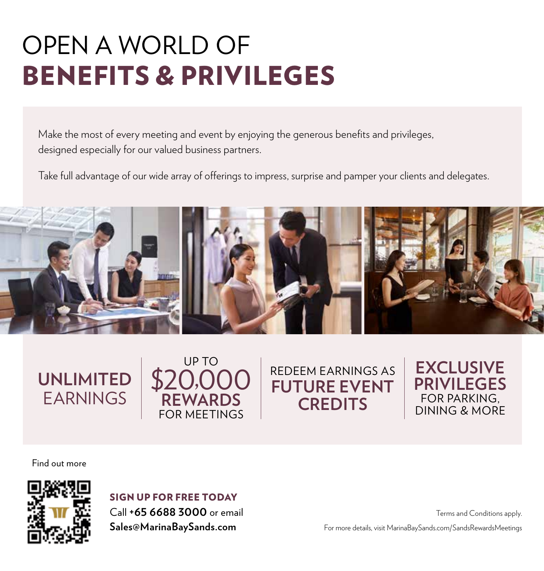# OPEN A WORLD OF BENEFITS & PRIVILEGES

Make the most of every meeting and event by enjoying the generous benefits and privileges, designed especially for our valued business partners.

Take full advantage of our wide array of offerings to impress, surprise and pamper your clients and delegates.



## **UNLIMITED** EARNINGS

### UP TO \$20,000 **REWARDS** FOR MEETINGS

## REDEEM EARNINGS AS **FUTURE EVENT CREDITS**

Find out more



SIGN UP FOR FREE TODAY

Call **+65 6688 3000** or email **Sales@MarinaBaySands.com**

Terms and Conditions apply.

**EXCLUSIVE PRIVILEGES** FOR PARKING, DINING & MORE

For more details, visit MarinaBaySands.com/SandsRewardsMeetings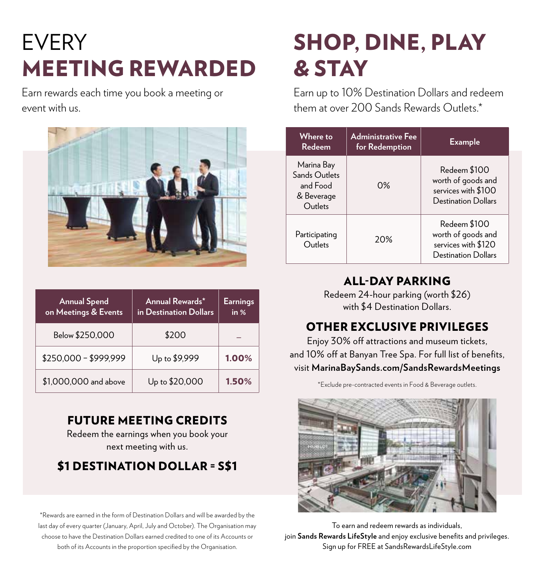## EVERY MEETING REWARDED

Earn rewards each time you book a meeting or event with us.



| <b>Annual Spend</b><br>on Meetings & Events | Annual Rewards*<br>in Destination Dollars | <b>Earnings</b><br>in % |
|---------------------------------------------|-------------------------------------------|-------------------------|
| Below \$250,000                             | \$200                                     |                         |
| \$250,000 - \$999,999                       | Up to \$9,999                             | 1.00%                   |
| \$1,000,000 and above                       | Up to \$20,000                            | 1.50%                   |

#### FUTURE MEETING CREDITS

Redeem the earnings when you book your next meeting with us.

### \$1 DESTINATION DOLLAR = S\$1

\*Rewards are earned in the form of Destination Dollars and will be awarded by the last day of every quarter (January, April, July and October). The Organisation may choose to have the Destination Dollars earned credited to one of its Accounts or both of its Accounts in the proportion specified by the Organisation.

## SHOP, DINE, PLAY & STAY

Earn up to 10% Destination Dollars and redeem them at over 200 Sands Rewards Outlets.\*

| Where to<br>Redeem                                               | <b>Administrative Fee</b><br>for Redemption | <b>Example</b>                                                                          |
|------------------------------------------------------------------|---------------------------------------------|-----------------------------------------------------------------------------------------|
| Marina Bay<br>Sands Outlets<br>and Food<br>& Beverage<br>Outlets | $0\%$                                       | Redeem \$100<br>worth of goods and<br>services with \$100<br><b>Destination Dollars</b> |
| Participating<br>Outlets                                         | 20%                                         | Redeem \$100<br>worth of goods and<br>services with \$120<br><b>Destination Dollars</b> |

### ALL-DAY PARKING

Redeem 24-hour parking (worth \$26) with \$4 Destination Dollars.

### OTHER EXCLUSIVE PRIVILEGES

Enjoy 30% off attractions and museum tickets, and 10% off at Banyan Tree Spa. For full list of benefits, visit **MarinaBaySands.com/SandsRewardsMeetings**

\*Exclude pre-contracted events in Food & Beverage outlets.



To earn and redeem rewards as individuals, join **Sands Rewards LifeStyle** and enjoy exclusive benefits and privileges. Sign up for FREE at SandsRewardsLifeStyle.com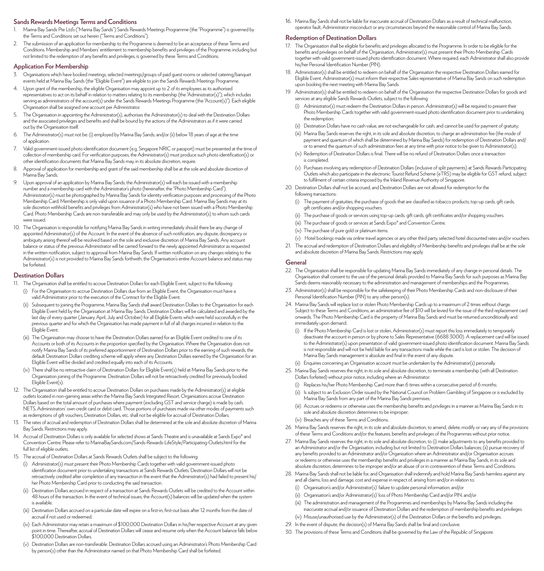#### **Sands Rewards Meetings Terms and Conditions**

- 1. Marina Bay Sands Pte Ltd's ("Marina Bay Sands") Sands Rewards Meetings Programme (the "Programme") is governed by the Terms and Conditions set out herein ("Terms and Conditions").
- 2. The submission of an application for membership to the Programme is deemed to be an acceptance of these Terms and Conditions. Membership and Members' entitlement to membership benefits and privileges of the Programme, including but not limited to the redemption of any benefits and privileges, is governed by these Terms and Conditions.

#### **Application For Membership**

- 3. Organisations which have booked meetings, selected meetings/groups of paid guest rooms or selected catering/banquet events held at Marina Bay Sands (the "Eligible Event") are eligible to join the Sands Rewards Meetings Programme.
- 4. Upon grant of the membership, the eligible Organisation may appoint up to 2 of its employees as its authorised representatives to act on its behalf in relation to matters relating to its membership (the "Administrator(s)"), which includes serving as administrators of the account(s) under the Sands Rewards Meetings Programme (the "Account(s)"). Each eligible Organisation shall be assigned one account per Administrator.
- 5. The Organisation in appointing the Administrator(s), authorises the Administrator(s) to deal with the Destination Dollars and the associated privileges and benefits and shall be bound by the actions of the Administrators as if it were carried out by the Organisation itself.
- 6. The Administrator(s) must not be: (i) employed by Marina Bay Sands; and/or (ii) below 18 years of age at the time of application.
- 7. Valid government-issued photo identification document (e.g. Singapore NRIC or passport) must be presented at the time of collection of membership card. For verification purposes, the Administrator(s) must produce such photo identification(s) or other identification documents that Marina Bay Sands may, in its absolute discretion, require.
- 8. Approval of application for membership and grant of the said membership shall be at the sole and absolute discretion of Marina Bay Sands.
- 9. Upon approval of an application by Marina Bay Sands, the Administrator(s) will each be issued with a membership number and a membership card with the Administrator's photo (hereinafter, the "Photo Membership Card"). Administrator(s) must be photographed by Marina Bay Sands for identity verification purposes and processing of the Photo Membership Card. Membership is only valid upon issuance of a Photo Membership Card. Marina Bay Sands may at its sole discretion withhold benefits and privileges from Administrator(s) who have not been issued with a Photo Membership Card. Photo Membership Cards are non-transferable and may only be used by the Administrator(s) to whom such cards were issued.
- 10. The Organisation is responsible for notifying Marina Bay Sands in writing immediately should there be any change of appointed Administrator(s) of the Account. In the event of the absence of such notification, any dispute, discrepancy or ambiguity arising thereof will be resolved based on the sole and exclusive discretion of Marina Bay Sands. Any account balance or status of the previous Administrator will be carried forward to the newly appointed Administrator as requested in the written notification, subject to approval from Marina Bay Sands. If written notification on any changes relating to the Administrator(s) is not provided to Marina Bay Sands forthwith, the Organisation's entire Account balance and status may be forfeited.

#### **Destination Dollars**

- 11. The Organisation shall be entitled to accrue Destination Dollars for each Eligible Event, subject to the following:
	- (i) For the Organisation to accrue Destination Dollars due from an Eligible Event, the Organisation must have a valid Administrator prior to the execution of the Contract for the Eligible Event.
	- (ii) Subsequent to joining the Programme, Marina Bay Sands shall award Destination Dollars to the Organisation for each Eligible Event held by the Organisation at Marina Bay Sands. Destination Dollars will be calculated and awarded by the last day of every quarter (January, April, July and October) for all Eligible Events which were held successfully in the previous quarter and for which the Organisation has made payment in full of all charges incurred in relation to the Eligible Event.
	- (iii) The Organisation may choose to have the Destination Dollars earned for an Eligible Event credited to one of its Accounts or both of its Accounts in the proportion specified by the Organisation. Where the Organisation does not notify Marina Bay Sands of its preferred apportionment of Destination Dollars prior to the earning of such rewards, the default Destination Dollars crediting scheme will apply where any Destination Dollars earned by the Organisation for an Eligible Event will be divided and credited equally into each of its Accounts.
	- (iv) There shall be no retroactive claim of Destination Dollars for Eligible Event(s) held at Marina Bay Sands prior to the Organisation joining of the Programme. Destination Dollars will not be retroactively credited for previously booked Eligible Event(s).
- 12. The Organisation shall be entitled to accrue Destination Dollars on purchases made by the Administrator(s) at eligible outlets located in non-gaming areas within the Marina Bay Sands Integrated Resort. Organisations accrue Destination Dollars based on the total amount of purchases where payment (excluding GST and service charge) is made by cash, NETS, Administrators' own credit card or debit card. Those portions of purchases made via other modes of payments such as redemptions of gift vouchers, Destination Dollars, etc. shall not be eligible for accrual of Destination Dollars.
- 13. The rates of accrual and redemption of Destination Dollars shall be determined at the sole and absolute discretion of Marina Bay Sands. Restrictions may apply.
- 14. Accrual of Destination Dollars is only available for selected shows at Sands Theatre and is unavailable at Sands Expo® and Convention Centre. Please refer to MarinaBaySands.com/Sands-Rewards-LifeStyle/Participating-Outlets.html for the full list of eligible outlets.
- 15. The accrual of Destination Dollars at Sands Rewards Outlets shall be subject to the following:
	- (i) Administrator(s) must present their Photo Membership Cards together with valid government-issued photo identification document prior to undertaking transactions at Sands Rewards Outlets. Destination Dollars will not be retroactively credited after completion of any transaction in the event that the Administrator(s) had failed to present his/ her Photo Membership Card prior to conducting the said transaction.
	- (ii) Destination Dollars accrued in respect of a transaction at Sands Rewards Outlets will be credited to the Account within 48 hours of the transaction. In the event of technical issues, the Account(s) balances will be updated when the system is available.
	- (iii) Destination Dollars accrued on a particular date will expire on a first-in, first-out basis after 12 months from the date of accrual if not used or redeemed.
	- (iv) Each Administrator may retain a maximum of \$100,000 Destination Dollars in his/her respective Account at any given point in time. Thereafter, accrual of Destination Dollars will cease and resume only when the Account balance falls below \$100,000 Destination Dollars.
	- (v) Destination Dollars are non-transferable. Destination Dollars accrued using an Administrator's Photo Membership Card by person(s) other than the Administrator named on that Photo Membership Card shall be forfeited.

16. Marina Bay Sands shall not be liable for inaccurate accrual of Destination Dollars as a result of technical malfunction, operator fault, Administrator misconduct or any circumstances beyond the reasonable control of Marina Bay Sands.

#### **Redemption of Destination Dollars**

- 17. The Organisation shall be eligible for benefits and privileges allocated to the Programme. In order to be eligible for the benefits and privileges on behalf of the Organisation, Administrator(s) must present their Photo Membership Cards together with valid government-issued photo identification document. Where required, each Administrator shall also provide his/her Personal Identification Number (PIN).
- 18. Administrator(s) shall be entitled to redeem on behalf of the Organisation the respective Destination Dollars earned for Eligible Event. Administrator(s) must inform their respective Sales representative of Marina Bay Sands on such redemption upon booking the next meeting with Marina Bay Sands.
- 19. Administrator(s) shall be entitled to redeem on behalf of the Organisation the respective Destination Dollars for goods and services at any eligible Sands Rewards Outlets, subject to the following:
	- (i) Administrator(s) must redeem the Destination Dollars in person. Administrator(s) will be required to present their Photo Membership Cards together with valid government-issued photo identification document prior to undertaking the redemption;
	- (ii) Destination Dollars have no cash value, are not exchangeable for cash, and cannot be used for payment of gratuity;
	- (iii) Marina Bay Sands reserves the right, in its sole and absolute discretion, to charge an administration fee (the mode of payment and quantum of which shall be determined by Marina Bay Sands) for redemption of Destination Dollars and/ or to amend the quantum of such administration fees at any time with prior notice to be given to Administrator(s).
	- (iv) Redemption of Destination Dollars is final. There will be no refund of Destination Dollars once a transaction is completed.
	- (v) Purchases involving any redemption of Destination Dollars (inclusive of split payments) at Sands Rewards Participating Outlets which also participate in the electronic Tourist Refund Scheme (eTRS) may be eligible for GST refund, subject to fulfilment of certain criteria imposed by the Inland Revenue Authority of Singapore.
- 20. Destination Dollars shall not be accrued; and Destination Dollars are not allowed for redemption for the following transactions:
	- (i) The payment of gratuities, the purchase of goods that are classified as tobacco products, top-up cards, gift cards, gift certificates and/or shopping vouchers.
	- (ii) The purchase of goods or services using top-up cards, gift cards, gift certificates and/or shopping vouchers.
	- (iii) The purchase of goods or services at Sands Expo® and Convention Centre.
	- (iv) The purchase of pure gold or platinum items.
- (v) Hotel bookings made via online travel agencies or any other third party, selected hotel discounted rates and/or vouchers. 21. The accrual and redemption of Destination Dollars and eligibility of Membership benefits and privileges shall be at the sole
- and absolute discretion of Marina Bay Sands. Restrictions may apply.

#### **General**

- 22. The Organisation shall be responsible for updating Marina Bay Sands immediately of any change in personal details. The Organisation shall consent to the use of the personal details provided to Marina Bay Sands for such purposes as Marina Bay Sands deems reasonably necessary to the administration and management of memberships and the Programmes.
- 23. Administrator(s) shall be responsible for the safekeeping of their Photo Membership Cards and non-disclosure of their Personal Identification Number (PIN) to any other person(s).
- 24. Marina Bay Sands will replace lost or stolen Photo Membership Cards up to a maximum of 2 times without charge. Subject to these Terms and Conditions, an administrative fee of \$10 will be levied for the issue of the third replacement card onwards. The Photo Membership Card is the property of Marina Bay Sands and must be returned unconditionally and immediately upon demand.
	- (i) If the Photo Membership Card is lost or stolen, Administrator(s) must report this loss immediately to temporarily deactivate the account in person or by phone to Sales Representative (6688 3000). A replacement card will be issued to the Administrator(s) upon presentation of valid government-issued photo identification document. Marina Bay Sands is not responsible and will not be held liable for any transactions made while the card is lost or stolen. The decision of Marina Bay Sands management is absolute and final in the event of any dispute.
	- (ii) Enquiries concerning an Organisation account must be undertaken by the Administrator(s) personally.
- 25. Marina Bay Sands reserves the right, in its sole and absolute discretion, to terminate a membership (with all Destination Dollars forfeited) without prior notice, including where an Administrator:
	- (i) Replaces his/her Photo Membership Card more than 6 times within a consecutive period of 6 months;
	- (ii) Is subject to an Exclusion Order issued by the National Council on Problem Gambling of Singapore or is excluded by Marina Bay Sands from any part of the Marina Bay Sands premises;
	- (iii) Accrues or redeems or otherwise uses the membership benefits and privileges in a manner as Marina Bay Sands in its sole and absolute discretion determines to be improper;
	- (iv) Breaches any of these Terms and Conditions.
- 26. Marina Bay Sands reserves the right, in its sole and absolute discretion, to amend, delete, modify or vary any of the provisions of these Terms and Conditions and/or the features, benefits and privileges of the Programmes without prior notice.
- 27. Marina Bay Sands reserves the right, in its sole and absolute discretion, to (i) make adjustments to any benefits provided to an Administrator and/or the Organisation, including but not limited to Destination Dollars balances; (ii) pursue recovery of any benefits provided to an Administrator and/or Organisation where an Administrator and/or Organisation accrues or redeems or otherwise uses the membership benefits and privileges in a manner as Marina Bay Sands, in its sole and absolute discretion, determines to be improper and/or an abuse of or in contravention of these Terms and Conditions.
- 28. Marina Bay Sands shall not be liable for, and Organisation shall indemnify and hold Marina Bay Sands harmless against any and all claims, loss and damage, cost and expense in respect of, arising from and/or in relation to:
	- (i) Organisation's and/or Administrator(s)' failure to update personal information; and/or
	- (ii) Organisation's and/or Administrator(s)' loss of Photo Membership Card and/or PIN; and/or
	- (iii) The administration and management of the Programmes and memberships by Marina Bay Sands including the inaccurate accrual and/or issuance of Destination Dollars and the redemption of membership benefits and privileges.
	- (iv) Misuse/unauthorised use by the Administrator(s) of the Destination Dollars or the benefits and privileges.
- 29. In the event of dispute, the decision(s) of Marina Bay Sands shall be final and conclusive.
- 30. The provisions of these Terms and Conditions shall be governed by the Law of the Republic of Singapore.